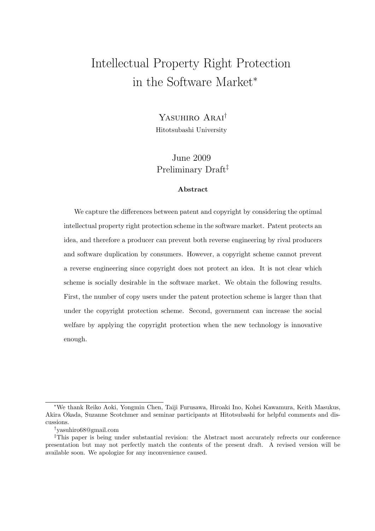# Intellectual Property Right Protection in the Software Market*<sup>∗</sup>*

# Yasuhiro Arai*†*

Hitotsubashi University

# June 2009 Preliminary Draft*‡*

### **Abstract**

We capture the differences between patent and copyright by considering the optimal intellectual property right protection scheme in the software market. Patent protects an idea, and therefore a producer can prevent both reverse engineering by rival producers and software duplication by consumers. However, a copyright scheme cannot prevent a reverse engineering since copyright does not protect an idea. It is not clear which scheme is socially desirable in the software market. We obtain the following results. First, the number of copy users under the patent protection scheme is larger than that under the copyright protection scheme. Second, government can increase the social welfare by applying the copyright protection when the new technology is innovative enough.

*<sup>∗</sup>*We thank Reiko Aoki, Yongmin Chen, Taiji Furusawa, Hiroaki Ino, Kohei Kawamura, Keith Masukus, Akira Okada, Suzanne Scotchmer and seminar participants at Hitotsubashi for helpful comments and discussions.

*<sup>†</sup>*yasuhiro68@gmail.com

*<sup>‡</sup>*This paper is being under substantial revision: the Abstract most accurately refrects our conference presentation but may not perfectly match the contents of the present draft. A revised version will be available soon. We apologize for any inconvenience caused.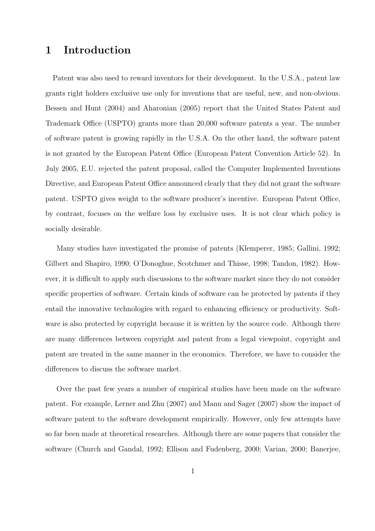# **1 Introduction**

Patent was also used to reward inventors for their development. In the U.S.A., patent law grants right holders exclusive use only for inventions that are useful, new, and non-obvious. Bessen and Hunt (2004) and Aharonian (2005) report that the United States Patent and Trademark Office (USPTO) grants more than 20,000 software patents a year. The number of software patent is growing rapidly in the U.S.A. On the other hand, the software patent is not granted by the European Patent Office (European Patent Convention Article 52). In July 2005, E.U. rejected the patent proposal, called the Computer Implemented Inventions Directive, and European Patent Office announced clearly that they did not grant the software patent. USPTO gives weight to the software producer's incentive. European Patent Office, by contrast, focuses on the welfare loss by exclusive uses. It is not clear which policy is socially desirable.

Many studies have investigated the promise of patents (Klemperer, 1985; Gallini, 1992; Gilbert and Shapiro, 1990; O'Donoghue, Scotchmer and Thisse, 1998; Tandon, 1982). However, it is difficult to apply such discussions to the software market since they do not consider specific properties of software. Certain kinds of software can be protected by patents if they entail the innovative technologies with regard to enhancing efficiency or productivity. Software is also protected by copyright because it is written by the source code. Although there are many differences between copyright and patent from a legal viewpoint, copyright and patent are treated in the same manner in the economics. Therefore, we have to consider the differences to discuss the software market.

Over the past few years a number of empirical studies have been made on the software patent. For example, Lerner and Zhu (2007) and Mann and Sager (2007) show the impact of software patent to the software development empirically. However, only few attempts have so far been made at theoretical researches. Although there are some papers that consider the software (Church and Gandal, 1992; Ellison and Fudenberg, 2000; Varian, 2000; Banerjee,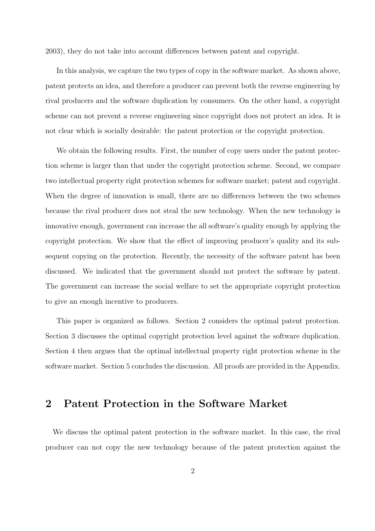2003), they do not take into account differences between patent and copyright.

In this analysis, we capture the two types of copy in the software market. As shown above, patent protects an idea, and therefore a producer can prevent both the reverse engineering by rival producers and the software duplication by consumers. On the other hand, a copyright scheme can not prevent a reverse engineering since copyright does not protect an idea. It is not clear which is socially desirable: the patent protection or the copyright protection.

We obtain the following results. First, the number of copy users under the patent protection scheme is larger than that under the copyright protection scheme. Second, we compare two intellectual property right protection schemes for software market; patent and copyright. When the degree of innovation is small, there are no differences between the two schemes because the rival producer does not steal the new technology. When the new technology is innovative enough, government can increase the all software's quality enough by applying the copyright protection. We show that the effect of improving producer's quality and its subsequent copying on the protection. Recently, the necessity of the software patent has been discussed. We indicated that the government should not protect the software by patent. The government can increase the social welfare to set the appropriate copyright protection to give an enough incentive to producers.

This paper is organized as follows. Section 2 considers the optimal patent protection. Section 3 discusses the optimal copyright protection level against the software duplication. Section 4 then argues that the optimal intellectual property right protection scheme in the software market. Section 5 concludes the discussion. All proofs are provided in the Appendix.

# **2 Patent Protection in the Software Market**

We discuss the optimal patent protection in the software market. In this case, the rival producer can not copy the new technology because of the patent protection against the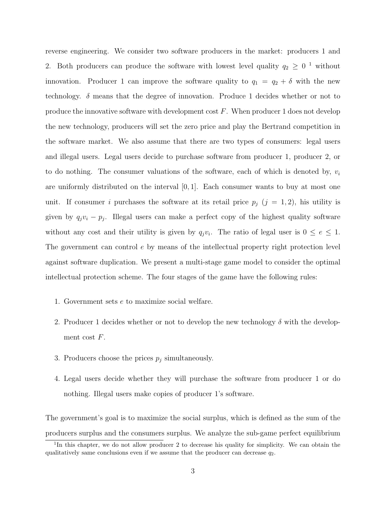reverse engineering. We consider two software producers in the market: producers 1 and 2. Both producers can produce the software with lowest level quality  $q_2 \geq 0^{-1}$  without innovation. Producer 1 can improve the software quality to  $q_1 = q_2 + \delta$  with the new technology. *δ* means that the degree of innovation. Produce 1 decides whether or not to produce the innovative software with development cost *F*. When producer 1 does not develop the new technology, producers will set the zero price and play the Bertrand competition in the software market. We also assume that there are two types of consumers: legal users and illegal users. Legal users decide to purchase software from producer 1, producer 2, or to do nothing. The consumer valuations of the software, each of which is denoted by, *v<sup>i</sup>* are uniformly distributed on the interval [0*,* 1]. Each consumer wants to buy at most one unit. If consumer *i* purchases the software at its retail price  $p_j$  ( $j = 1, 2$ ), his utility is given by  $q_jv_i - p_j$ . Illegal users can make a perfect copy of the highest quality software without any cost and their utility is given by  $q_jv_i$ . The ratio of legal user is  $0 \le e \le 1$ . The government can control *e* by means of the intellectual property right protection level against software duplication. We present a multi-stage game model to consider the optimal intellectual protection scheme. The four stages of the game have the following rules:

- 1. Government sets *e* to maximize social welfare.
- 2. Producer 1 decides whether or not to develop the new technology  $\delta$  with the development cost *F*.
- 3. Producers choose the prices  $p_j$  simultaneously.
- 4. Legal users decide whether they will purchase the software from producer 1 or do nothing. Illegal users make copies of producer 1's software.

The government's goal is to maximize the social surplus, which is defined as the sum of the producers surplus and the consumers surplus. We analyze the sub-game perfect equilibrium

<sup>&</sup>lt;sup>1</sup>In this chapter, we do not allow producer 2 to decrease his quality for simplicity. We can obtain the qualitatively same conclusions even if we assume that the producer can decrease  $q_2$ .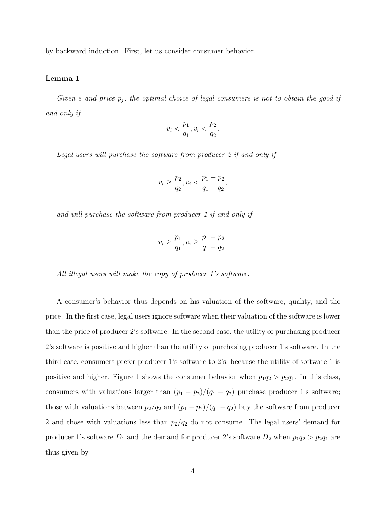by backward induction. First, let us consider consumer behavior.

#### **Lemma 1**

*Given e and price p<sup>j</sup> , the optimal choice of legal consumers is not to obtain the good if and only if*

$$
v_i<\frac{p_1}{q_1},v_i<\frac{p_2}{q_2}
$$

*.*

*Legal users will purchase the software from producer 2 if and only if*

$$
v_i \ge \frac{p_2}{q_2}, v_i < \frac{p_1 - p_2}{q_1 - q_2},
$$

*and will purchase the software from producer 1 if and only if*

$$
v_i \ge \frac{p_1}{q_1}, v_i \ge \frac{p_1 - p_2}{q_1 - q_2}.
$$

*All illegal users will make the copy of producer 1's software.*

A consumer's behavior thus depends on his valuation of the software, quality, and the price. In the first case, legal users ignore software when their valuation of the software is lower than the price of producer 2's software. In the second case, the utility of purchasing producer 2's software is positive and higher than the utility of purchasing producer 1's software. In the third case, consumers prefer producer 1's software to 2's, because the utility of software 1 is positive and higher. Figure 1 shows the consumer behavior when  $p_1q_2 > p_2q_1$ . In this class, consumers with valuations larger than  $(p_1 - p_2)/(q_1 - q_2)$  purchase producer 1's software; those with valuations between  $p_2/q_2$  and  $(p_1 - p_2)/(q_1 - q_2)$  buy the software from producer 2 and those with valuations less than  $p_2/q_2$  do not consume. The legal users' demand for producer 1's software  $D_1$  and the demand for producer 2's software  $D_2$  when  $p_1q_2 > p_2q_1$  are thus given by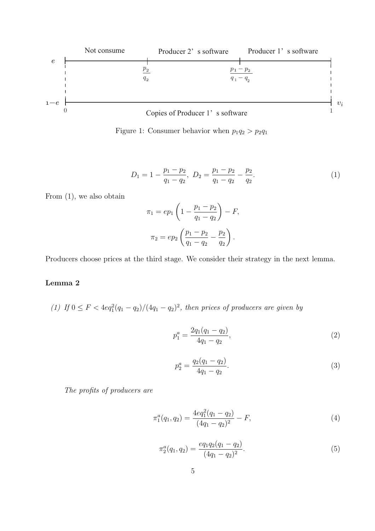

Figure 1: Consumer behavior when  $p_1q_2 > p_2q_1$ 

$$
D_1 = 1 - \frac{p_1 - p_2}{q_1 - q_2}, \ D_2 = \frac{p_1 - p_2}{q_1 - q_2} - \frac{p_2}{q_2}.
$$
 (1)

From (1), we also obtain

$$
\pi_1 = ep_1 \left( 1 - \frac{p_1 - p_2}{q_1 - q_2} \right) - F,
$$
  

$$
\pi_2 = ep_2 \left( \frac{p_1 - p_2}{q_1 - q_2} - \frac{p_2}{q_2} \right).
$$

Producers choose prices at the third stage. We consider their strategy in the next lemma.

### **Lemma 2**

*(1) If* 0 ≤ *F* <  $4eq_1^2(q_1 - q_2)/(4q_1 - q_2)^2$ , then prices of producers are given by

$$
p_1^a = \frac{2q_1(q_1 - q_2)}{4q_1 - q_2},\tag{2}
$$

$$
p_2^a = \frac{q_2(q_1 - q_2)}{4q_1 - q_2}.\tag{3}
$$

*The profits of producers are*

$$
\pi_1^a(q_1, q_2) = \frac{4eq_1^2(q_1 - q_2)}{(4q_1 - q_2)^2} - F,\tag{4}
$$

$$
\pi_2^a(q_1, q_2) = \frac{eq_1q_2(q_1 - q_2)}{(4q_1 - q_2)^2}.
$$
\n(5)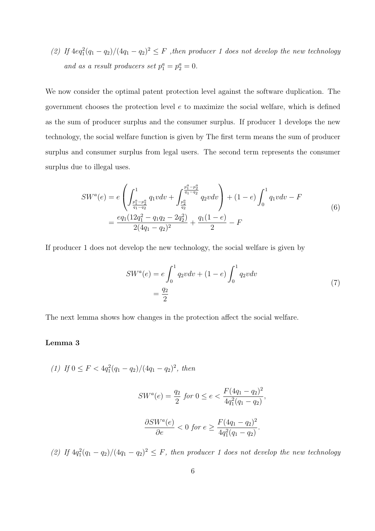(2) If  $4eq_1^2(q_1-q_2)/(4q_1-q_2)^2 \leq F$ , then producer 1 does not develop the new technology *and as a result producers set*  $p_1^a = p_2^a = 0$ .

We now consider the optimal patent protection level against the software duplication. The government chooses the protection level *e* to maximize the social welfare, which is defined as the sum of producer surplus and the consumer surplus. If producer 1 develops the new technology, the social welfare function is given by The first term means the sum of producer surplus and consumer surplus from legal users. The second term represents the consumer surplus due to illegal uses.

$$
SW^{a}(e) = e \left( \int_{\frac{p_1^{a} - p_2^{a}}{q_1 - q_2}}^{1} q_1 v dv + \int_{\frac{p_2^{a}}{q_2}}^{\frac{p_1^{a} - p_2^{a}}{q_1 - q_2}} q_2 v dv \right) + (1 - e) \int_{0}^{1} q_1 v dv - F
$$
  
= 
$$
\frac{eq_1(12q_1^{2} - q_1 q_2 - 2q_2^{2})}{2(4q_1 - q_2)^{2}} + \frac{q_1(1 - e)}{2} - F
$$
 (6)

If producer 1 does not develop the new technology, the social welfare is given by

$$
SW^{a}(e) = e \int_{0}^{1} q_{2}vdv + (1 - e) \int_{0}^{1} q_{2}vdv
$$

$$
= \frac{q_{2}}{2}
$$
(7)

The next lemma shows how changes in the protection affect the social welfare.

### **Lemma 3**

(1) If 
$$
0 \le F < 4q_1^2(q_1 - q_2)/(4q_1 - q_2)^2
$$
, then

$$
SW^{a}(e) = \frac{q_2}{2} \text{ for } 0 \le e < \frac{F(4q_1 - q_2)^2}{4q_1^2(q_1 - q_2)},
$$
  

$$
\frac{\partial SW^{a}(e)}{\partial e} < 0 \text{ for } e \ge \frac{F(4q_1 - q_2)^2}{4q_1^2(q_1 - q_2)}.
$$

(2) If  $4q_1^2(q_1-q_2)/(4q_1-q_2)^2 \leq F$ , then producer 1 does not develop the new technology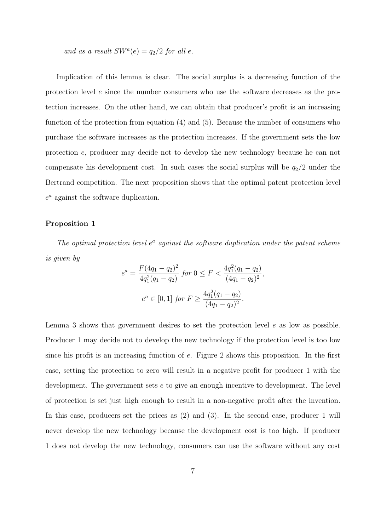*and as a result*  $SW^a(e) = q_2/2$  *for all e.* 

Implication of this lemma is clear. The social surplus is a decreasing function of the protection level *e* since the number consumers who use the software decreases as the protection increases. On the other hand, we can obtain that producer's profit is an increasing function of the protection from equation (4) and (5). Because the number of consumers who purchase the software increases as the protection increases. If the government sets the low protection *e*, producer may decide not to develop the new technology because he can not compensate his development cost. In such cases the social surplus will be  $q_2/2$  under the Bertrand competition. The next proposition shows that the optimal patent protection level *e <sup>a</sup>* against the software duplication.

### **Proposition 1**

*The optimal protection level e <sup>a</sup> against the software duplication under the patent scheme is given by*

$$
e^{a} = \frac{F(4q_{1} - q_{2})^{2}}{4q_{1}^{2}(q_{1} - q_{2})} \text{ for } 0 \le F < \frac{4q_{1}^{2}(q_{1} - q_{2})}{(4q_{1} - q_{2})^{2}},
$$

$$
e^{a} \in [0, 1] \text{ for } F \ge \frac{4q_{1}^{2}(q_{1} - q_{2})}{(4q_{1} - q_{2})^{2}}.
$$

Lemma 3 shows that government desires to set the protection level *e* as low as possible. Producer 1 may decide not to develop the new technology if the protection level is too low since his profit is an increasing function of *e*. Figure 2 shows this proposition. In the first case, setting the protection to zero will result in a negative profit for producer 1 with the development. The government sets *e* to give an enough incentive to development. The level of protection is set just high enough to result in a non-negative profit after the invention. In this case, producers set the prices as (2) and (3). In the second case, producer 1 will never develop the new technology because the development cost is too high. If producer 1 does not develop the new technology, consumers can use the software without any cost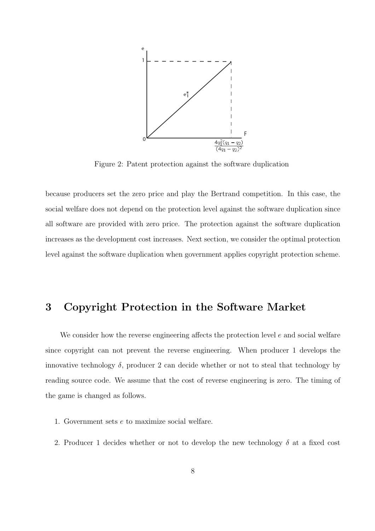

Figure 2: Patent protection against the software duplication

because producers set the zero price and play the Bertrand competition. In this case, the social welfare does not depend on the protection level against the software duplication since all software are provided with zero price. The protection against the software duplication increases as the development cost increases. Next section, we consider the optimal protection level against the software duplication when government applies copyright protection scheme.

# **3 Copyright Protection in the Software Market**

We consider how the reverse engineering affects the protection level *e* and social welfare since copyright can not prevent the reverse engineering. When producer 1 develops the innovative technology  $\delta$ , producer 2 can decide whether or not to steal that technology by reading source code. We assume that the cost of reverse engineering is zero. The timing of the game is changed as follows.

- 1. Government sets *e* to maximize social welfare.
- 2. Producer 1 decides whether or not to develop the new technology *δ* at a fixed cost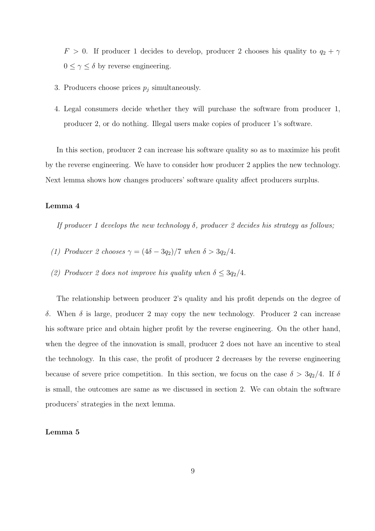*F* > 0. If producer 1 decides to develop, producer 2 chooses his quality to  $q_2 + \gamma$  $0 \leq \gamma \leq \delta$  by reverse engineering.

- 3. Producers choose prices  $p_j$  simultaneously.
- 4. Legal consumers decide whether they will purchase the software from producer 1, producer 2, or do nothing. Illegal users make copies of producer 1's software.

In this section, producer 2 can increase his software quality so as to maximize his profit by the reverse engineering. We have to consider how producer 2 applies the new technology. Next lemma shows how changes producers' software quality affect producers surplus.

### **Lemma 4**

*If producer 1 develops the new technology δ, producer 2 decides his strategy as follows;*

- *(1) Producer 2 chooses*  $\gamma = (4\delta 3q_2)/7$  *when*  $\delta > 3q_2/4$ *.*
- *(2) Producer 2 does not improve his quality when*  $\delta \leq 3q_2/4$ *.*

The relationship between producer 2's quality and his profit depends on the degree of *δ*. When *δ* is large, producer 2 may copy the new technology. Producer 2 can increase his software price and obtain higher profit by the reverse engineering. On the other hand, when the degree of the innovation is small, producer 2 does not have an incentive to steal the technology. In this case, the profit of producer 2 decreases by the reverse engineering because of severe price competition. In this section, we focus on the case  $\delta > 3q_2/4$ . If  $\delta$ is small, the outcomes are same as we discussed in section 2. We can obtain the software producers' strategies in the next lemma.

### **Lemma 5**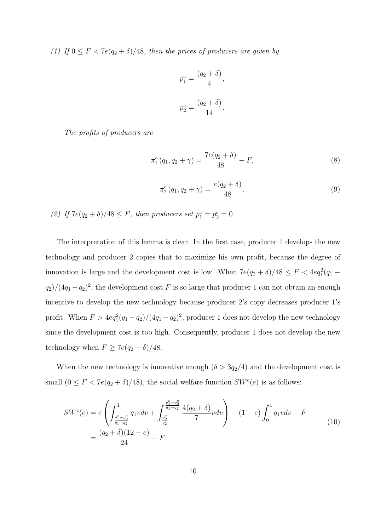*(1) If*  $0 \leq F < 7e(q_2 + \delta)/48$ *, then the prices of producers are given by* 

$$
p_1^c = \frac{(q_2 + \delta)}{4},
$$
  

$$
p_2^c = \frac{(q_2 + \delta)}{14}.
$$

*The profits of producers are*

$$
\pi_1^c(q_1, q_2 + \gamma) = \frac{7e(q_2 + \delta)}{48} - F,\tag{8}
$$

$$
\pi_2^c(q_1, q_2 + \gamma) = \frac{e(q_2 + \delta)}{48}.
$$
\n(9)

*(2) If*  $7e(q_2 + \delta)/48 \leq F$ , *then producers set*  $p_1^c = p_2^c = 0$ .

The interpretation of this lemma is clear. In the first case, producer 1 develops the new technology and producer 2 copies that to maximize his own profit, because the degree of innovation is large and the development cost is low. When  $7e(q_2 + \delta)/48 \leq F < 4eq_1^2(q_1 - \delta)/48$  $q_2$ )/(4 $q_1$  *−* $q_2$ )<sup>2</sup>, the development cost *F* is so large that producer 1 can not obtain an enough incentive to develop the new technology because producer 2's copy decreases producer 1's profit. When  $F > 4eq_1^2(q_1 - q_2)/(4q_1 - q_2)^2$ , producer 1 does not develop the new technology since the development cost is too high. Consequently, producer 1 does not develop the new technology when  $F \geq 7e(q_2 + \delta)/48$ .

When the new technology is innovative enough  $(\delta > 3q_2/4)$  and the development cost is small  $(0 \leq F < 7e(q_2 + \delta)/48)$ , the social welfare function  $SW<sup>c</sup>(e)$  is as follows:

$$
SW^{c}(e) = e \left( \int_{\frac{p_1^{c} - p_2^{c}}{q_1 - q_2}}^{1} q_1 v dv + \int_{\frac{p_2^{c}}{q_2}}^{\frac{p_1^{c} - p_2^{c}}{q_1 - q_2}} \frac{4(q_2 + \delta)}{7} v dv \right) + (1 - e) \int_{0}^{1} q_1 v dv - F
$$
  
= 
$$
\frac{(q_2 + \delta)(12 - e)}{24} - F
$$
 (10)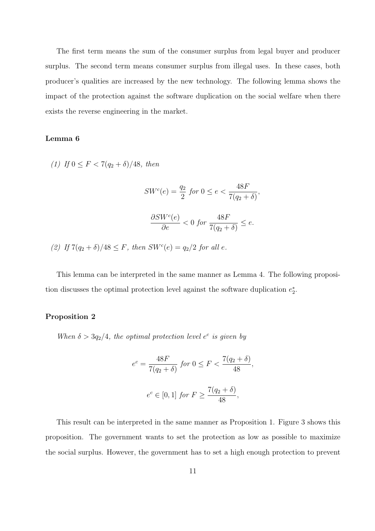The first term means the sum of the consumer surplus from legal buyer and producer surplus. The second term means consumer surplus from illegal uses. In these cases, both producer's qualities are increased by the new technology. The following lemma shows the impact of the protection against the software duplication on the social welfare when there exists the reverse engineering in the market.

### **Lemma 6**

*(1) If*  $0 \leq F \leq 7(q_2 + \delta)/48$ , *then* 

$$
SW^{c}(e) = \frac{q_2}{2} \text{ for } 0 \le e < \frac{48F}{7(q_2 + \delta)},
$$

$$
\frac{\partial SW^{c}(e)}{\partial e} < 0 \text{ for } \frac{48F}{7(q_2 + \delta)} \le e.
$$

*(2) If*  $7(q_2 + \delta)/48 \leq F$ , then  $SW^c(e) = q_2/2$  for all *e*.

This lemma can be interpreted in the same manner as Lemma 4. The following proposition discusses the optimal protection level against the software duplication  $e_2^*$ .

#### **Proposition 2**

*When*  $\delta > 3q_2/4$ , the optimal protection level  $e^c$  is given by

$$
e^{c} = \frac{48F}{7(q_{2} + \delta)} \text{ for } 0 \le F < \frac{7(q_{2} + \delta)}{48},
$$
\n
$$
e^{c} \in [0, 1] \text{ for } F \ge \frac{7(q_{2} + \delta)}{48},
$$

This result can be interpreted in the same manner as Proposition 1. Figure 3 shows this proposition. The government wants to set the protection as low as possible to maximize the social surplus. However, the government has to set a high enough protection to prevent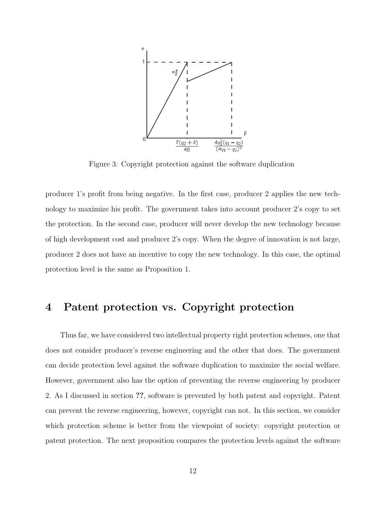

Figure 3: Copyright protection against the software duplication

producer 1's profit from being negative. In the first case, producer 2 applies the new technology to maximize his profit. The government takes into account producer 2's copy to set the protection. In the second case, producer will never develop the new technology because of high development cost and producer 2's copy. When the degree of innovation is not large, producer 2 does not have an incentive to copy the new technology. In this case, the optimal protection level is the same as Proposition 1.

# **4 Patent protection vs. Copyright protection**

Thus far, we have considered two intellectual property right protection schemes, one that does not consider producer's reverse engineering and the other that does. The government can decide protection level against the software duplication to maximize the social welfare. However, government also has the option of preventing the reverse engineering by producer 2. As I discussed in section **??**, software is prevented by both patent and copyright. Patent can prevent the reverse engineering, however, copyright can not. In this section, we consider which protection scheme is better from the viewpoint of society: copyright protection or patent protection. The next proposition compares the protection levels against the software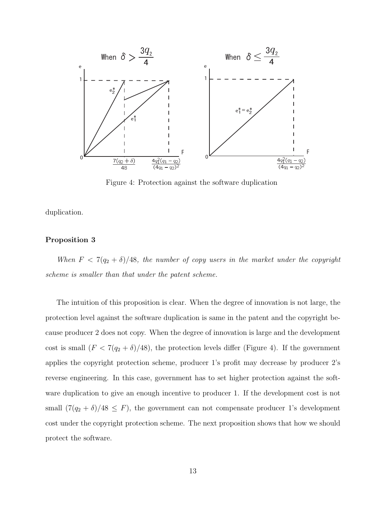

Figure 4: Protection against the software duplication

duplication.

#### **Proposition 3**

*When*  $F < 7(q_2 + \delta)/48$ *, the number of copy users in the market under the copyright scheme is smaller than that under the patent scheme.*

The intuition of this proposition is clear. When the degree of innovation is not large, the protection level against the software duplication is same in the patent and the copyright because producer 2 does not copy. When the degree of innovation is large and the development cost is small  $(F < 7(q_2 + \delta)/48)$ , the protection levels differ (Figure 4). If the government applies the copyright protection scheme, producer 1's profit may decrease by producer 2's reverse engineering. In this case, government has to set higher protection against the software duplication to give an enough incentive to producer 1. If the development cost is not small  $(7(q_2 + \delta)/48 \leq F)$ , the government can not compensate producer 1's development cost under the copyright protection scheme. The next proposition shows that how we should protect the software.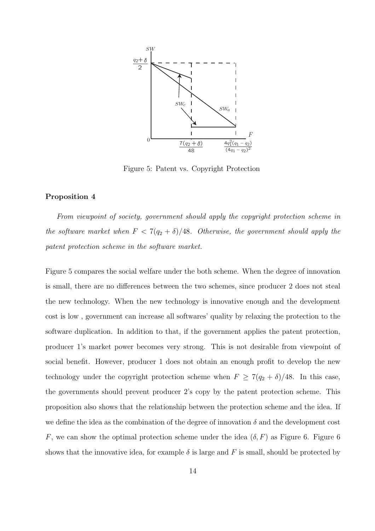

Figure 5: Patent vs. Copyright Protection

### **Proposition 4**

*From viewpoint of society, government should apply the copyright protection scheme in the software market when*  $F < 7(q_2 + \delta)/48$ *. Otherwise, the government should apply the patent protection scheme in the software market.*

Figure 5 compares the social welfare under the both scheme. When the degree of innovation is small, there are no differences between the two schemes, since producer 2 does not steal the new technology. When the new technology is innovative enough and the development cost is low , government can increase all softwares' quality by relaxing the protection to the software duplication. In addition to that, if the government applies the patent protection, producer 1's market power becomes very strong. This is not desirable from viewpoint of social benefit. However, producer 1 does not obtain an enough profit to develop the new technology under the copyright protection scheme when  $F \geq 7(q_2 + \delta)/48$ . In this case, the governments should prevent producer 2's copy by the patent protection scheme. This proposition also shows that the relationship between the protection scheme and the idea. If we define the idea as the combination of the degree of innovation  $\delta$  and the development cost *F*, we can show the optimal protection scheme under the idea  $(\delta, F)$  as Figure 6. Figure 6 shows that the innovative idea, for example  $\delta$  is large and F is small, should be protected by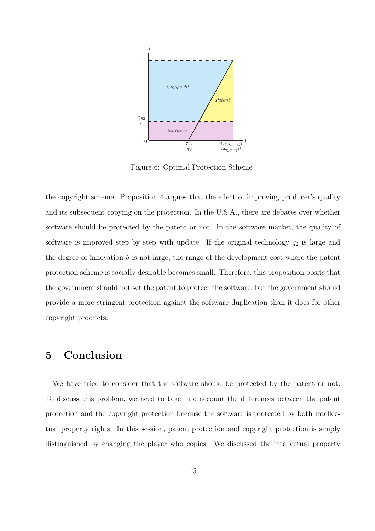

Figure 6: Optimal Protection Scheme

the copyright scheme. Proposition 4 argues that the effect of improving producer's quality and its subsequent copying on the protection. In the U.S.A., there are debates over whether software should be protected by the patent or not. In the software market, the quality of software is improved step by step with update. If the original technology  $q_2$  is large and the degree of innovation  $\delta$  is not large, the range of the development cost where the patent protection scheme is socially desirable becomes small. Therefore, this proposition posits that the government should not set the patent to protect the software, but the government should provide a more stringent protection against the software duplication than it does for other copyright products.

## **5 Conclusion**

We have tried to consider that the software should be protected by the patent or not. To discuss this problem, we need to take into account the differences between the patent protection and the copyright protection because the software is protected by both intellectual property rights. In this session, patent protection and copyright protection is simply distinguished by changing the player who copies. We discussed the intellectual property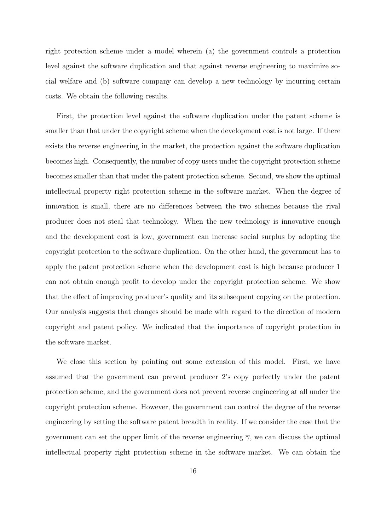right protection scheme under a model wherein (a) the government controls a protection level against the software duplication and that against reverse engineering to maximize social welfare and (b) software company can develop a new technology by incurring certain costs. We obtain the following results.

First, the protection level against the software duplication under the patent scheme is smaller than that under the copyright scheme when the development cost is not large. If there exists the reverse engineering in the market, the protection against the software duplication becomes high. Consequently, the number of copy users under the copyright protection scheme becomes smaller than that under the patent protection scheme. Second, we show the optimal intellectual property right protection scheme in the software market. When the degree of innovation is small, there are no differences between the two schemes because the rival producer does not steal that technology. When the new technology is innovative enough and the development cost is low, government can increase social surplus by adopting the copyright protection to the software duplication. On the other hand, the government has to apply the patent protection scheme when the development cost is high because producer 1 can not obtain enough profit to develop under the copyright protection scheme. We show that the effect of improving producer's quality and its subsequent copying on the protection. Our analysis suggests that changes should be made with regard to the direction of modern copyright and patent policy. We indicated that the importance of copyright protection in the software market.

We close this section by pointing out some extension of this model. First, we have assumed that the government can prevent producer 2's copy perfectly under the patent protection scheme, and the government does not prevent reverse engineering at all under the copyright protection scheme. However, the government can control the degree of the reverse engineering by setting the software patent breadth in reality. If we consider the case that the government can set the upper limit of the reverse engineering  $\overline{\gamma}$ , we can discuss the optimal intellectual property right protection scheme in the software market. We can obtain the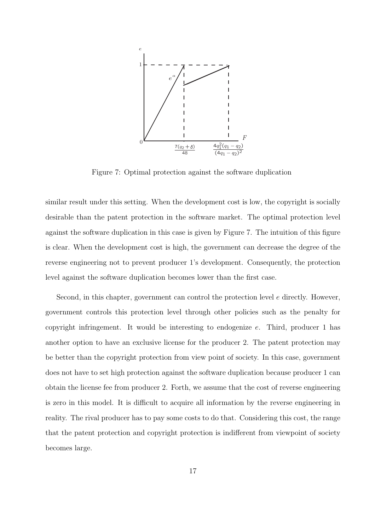

Figure 7: Optimal protection against the software duplication

similar result under this setting. When the development cost is low, the copyright is socially desirable than the patent protection in the software market. The optimal protection level against the software duplication in this case is given by Figure 7. The intuition of this figure is clear. When the development cost is high, the government can decrease the degree of the reverse engineering not to prevent producer 1's development. Consequently, the protection level against the software duplication becomes lower than the first case.

Second, in this chapter, government can control the protection level *e* directly. However, government controls this protection level through other policies such as the penalty for copyright infringement. It would be interesting to endogenize *e*. Third, producer 1 has another option to have an exclusive license for the producer 2. The patent protection may be better than the copyright protection from view point of society. In this case, government does not have to set high protection against the software duplication because producer 1 can obtain the license fee from producer 2. Forth, we assume that the cost of reverse engineering is zero in this model. It is difficult to acquire all information by the reverse engineering in reality. The rival producer has to pay some costs to do that. Considering this cost, the range that the patent protection and copyright protection is indifferent from viewpoint of society becomes large.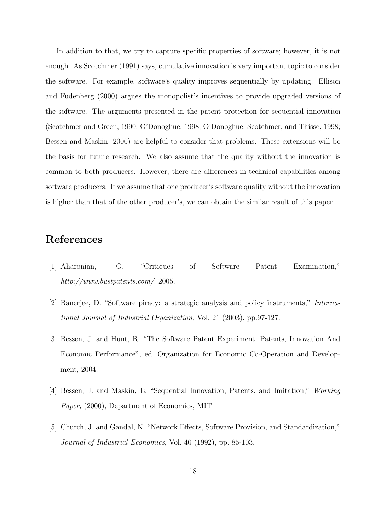In addition to that, we try to capture specific properties of software; however, it is not enough. As Scotchmer (1991) says, cumulative innovation is very important topic to consider the software. For example, software's quality improves sequentially by updating. Ellison and Fudenberg (2000) argues the monopolist's incentives to provide upgraded versions of the software. The arguments presented in the patent protection for sequential innovation (Scotchmer and Green, 1990; O'Donoghue, 1998; O'Donoghue, Scotchmer, and Thisse, 1998; Bessen and Maskin; 2000) are helpful to consider that problems. These extensions will be the basis for future research. We also assume that the quality without the innovation is common to both producers. However, there are differences in technical capabilities among software producers. If we assume that one producer's software quality without the innovation is higher than that of the other producer's, we can obtain the similar result of this paper.

# **References**

- [1] Aharonian, G. "Critiques of Software Patent Examination," *http://www.bustpatents.com/*. 2005.
- [2] Banerjee, D. "Software piracy: a strategic analysis and policy instruments," *International Journal of Industrial Organization,* Vol. 21 (2003), pp.97-127.
- [3] Bessen, J. and Hunt, R. "The Software Patent Experiment. Patents, Innovation And Economic Performance", ed. Organization for Economic Co-Operation and Development, 2004.
- [4] Bessen, J. and Maskin, E. "Sequential Innovation, Patents, and Imitation," *Working Paper,* (2000), Department of Economics, MIT
- [5] Church, J. and Gandal, N. "Network Effects, Software Provision, and Standardization," *Journal of Industrial Economics*, Vol. 40 (1992), pp. 85-103.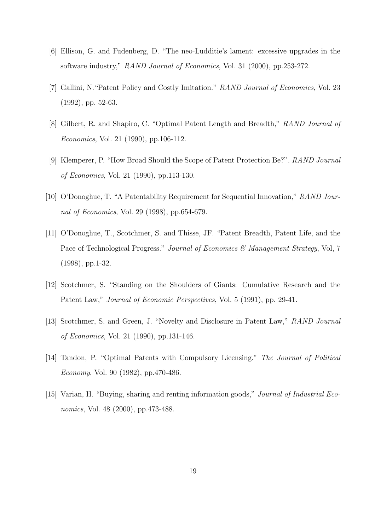- [6] Ellison, G. and Fudenberg, D. "The neo-Ludditie's lament: excessive upgrades in the software industry," *RAND Journal of Economics*, Vol. 31 (2000), pp.253-272.
- [7] Gallini, N."Patent Policy and Costly Imitation." *RAND Journal of Economics*, Vol. 23 (1992), pp. 52-63.
- [8] Gilbert, R. and Shapiro, C. "Optimal Patent Length and Breadth," *RAND Journal of Economics*, Vol. 21 (1990), pp.106-112.
- [9] Klemperer, P. "How Broad Should the Scope of Patent Protection Be?". *RAND Journal of Economics*, Vol. 21 (1990), pp.113-130.
- [10] O'Donoghue, T. "A Patentability Requirement for Sequential Innovation," *RAND Journal of Economics*, Vol. 29 (1998), pp.654-679.
- [11] O'Donoghue, T., Scotchmer, S. and Thisse, JF. "Patent Breadth, Patent Life, and the Pace of Technological Progress." *Journal of Economics & Management Strategy*, Vol, 7 (1998), pp.1-32.
- [12] Scotchmer, S. "Standing on the Shoulders of Giants: Cumulative Research and the Patent Law," *Journal of Economic Perspectives*, Vol. 5 (1991), pp. 29-41.
- [13] Scotchmer, S. and Green, J. "Novelty and Disclosure in Patent Law," *RAND Journal of Economics*, Vol. 21 (1990), pp.131-146.
- [14] Tandon, P. "Optimal Patents with Compulsory Licensing." *The Journal of Political Economy*, Vol. 90 (1982), pp.470-486.
- [15] Varian, H. "Buying, sharing and renting information goods," *Journal of Industrial Economics*, Vol. 48 (2000), pp.473-488.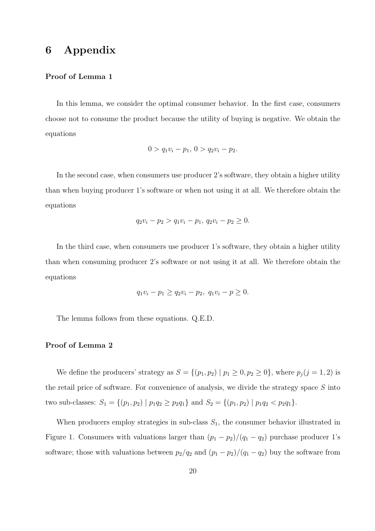# **6 Appendix**

### **Proof of Lemma 1**

In this lemma, we consider the optimal consumer behavior. In the first case, consumers choose not to consume the product because the utility of buying is negative. We obtain the equations

$$
0 > q_1v_i - p_1, \ 0 > q_2v_i - p_2.
$$

In the second case, when consumers use producer 2's software, they obtain a higher utility than when buying producer 1's software or when not using it at all. We therefore obtain the equations

$$
q_2v_i - p_2 > q_1v_i - p_1, q_2v_i - p_2 \ge 0.
$$

In the third case, when consumers use producer 1's software, they obtain a higher utility than when consuming producer 2's software or not using it at all. We therefore obtain the equations

$$
q_1v_i - p_1 \ge q_2v_i - p_2, \ q_1v_i - p \ge 0.
$$

The lemma follows from these equations. Q.E.D.

#### **Proof of Lemma 2**

We define the producers' strategy as  $S = \{(p_1, p_2) | p_1 \geq 0, p_2 \geq 0\}$ , where  $p_j(j = 1, 2)$  is the retail price of software. For convenience of analysis, we divide the strategy space *S* into two sub-classes:  $S_1 = \{(p_1, p_2) | p_1 q_2 \ge p_2 q_1\}$  and  $S_2 = \{(p_1, p_2) | p_1 q_2 < p_2 q_1\}.$ 

When producers employ strategies in sub-class  $S_1$ , the consumer behavior illustrated in Figure 1. Consumers with valuations larger than  $(p_1 - p_2)/(q_1 - q_2)$  purchase producer 1's software; those with valuations between  $p_2/q_2$  and  $(p_1 - p_2)/(q_1 - q_2)$  buy the software from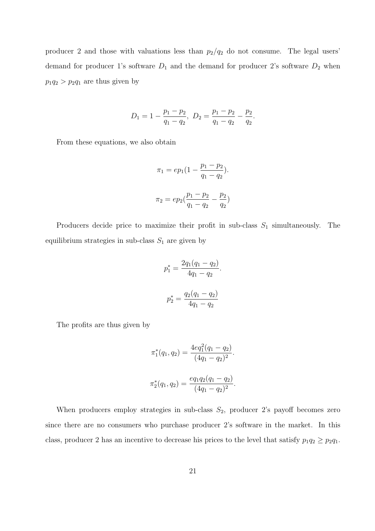producer 2 and those with valuations less than  $p_2/q_2$  do not consume. The legal users' demand for producer 1's software  $D_1$  and the demand for producer 2's software  $D_2$  when  $p_1q_2 > p_2q_1$  are thus given by

$$
D_1 = 1 - \frac{p_1 - p_2}{q_1 - q_2}, \ D_2 = \frac{p_1 - p_2}{q_1 - q_2} - \frac{p_2}{q_2}.
$$

From these equations, we also obtain

$$
\pi_1 = ep_1\left(1 - \frac{p_1 - p_2}{q_1 - q_2}\right).
$$

$$
\pi_2 = ep_2\left(\frac{p_1 - p_2}{q_1 - q_2} - \frac{p_2}{q_2}\right)
$$

Producers decide price to maximize their profit in sub-class *S*<sup>1</sup> simultaneously. The equilibrium strategies in sub-class  $S_1$  are given by

$$
p_1^* = \frac{2q_1(q_1 - q_2)}{4q_1 - q_2}.
$$

$$
p_2^* = \frac{q_2(q_1 - q_2)}{4q_1 - q_2}
$$

The profits are thus given by

$$
\pi_1^*(q_1, q_2) = \frac{4eq_1^2(q_1 - q_2)}{(4q_1 - q_2)^2}.
$$

$$
\pi_2^*(q_1, q_2) = \frac{eq_1q_2(q_1 - q_2)}{(4q_1 - q_2)^2}.
$$

When producers employ strategies in sub-class  $S_2$ , producer 2's payoff becomes zero since there are no consumers who purchase producer 2's software in the market. In this class, producer 2 has an incentive to decrease his prices to the level that satisfy  $p_1q_2 \geq p_2q_1$ .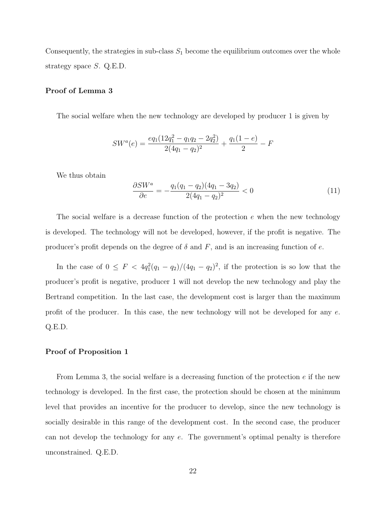Consequently, the strategies in sub-class  $S_1$  become the equilibrium outcomes over the whole strategy space *S*. Q.E.D.

#### **Proof of Lemma 3**

The social welfare when the new technology are developed by producer 1 is given by

$$
SW^{a}(e) = \frac{eq_{1}(12q_{1}^{2} - q_{1}q_{2} - 2q_{2}^{2})}{2(4q_{1} - q_{2})^{2}} + \frac{q_{1}(1 - e)}{2} - F
$$

We thus obtain

$$
\frac{\partial SW^a}{\partial e} = -\frac{q_1(q_1 - q_2)(4q_1 - 3q_2)}{2(4q_1 - q_2)^2} < 0 \tag{11}
$$

The social welfare is a decrease function of the protection *e* when the new technology is developed. The technology will not be developed, however, if the profit is negative. The producer's profit depends on the degree of  $\delta$  and  $F$ , and is an increasing function of  $e$ .

In the case of  $0 \leq F < 4q_1^2(q_1-q_2)/(4q_1-q_2)^2$ , if the protection is so low that the producer's profit is negative, producer 1 will not develop the new technology and play the Bertrand competition. In the last case, the development cost is larger than the maximum profit of the producer. In this case, the new technology will not be developed for any *e*. Q.E.D.

#### **Proof of Proposition 1**

From Lemma 3, the social welfare is a decreasing function of the protection *e* if the new technology is developed. In the first case, the protection should be chosen at the minimum level that provides an incentive for the producer to develop, since the new technology is socially desirable in this range of the development cost. In the second case, the producer can not develop the technology for any *e*. The government's optimal penalty is therefore unconstrained. Q.E.D.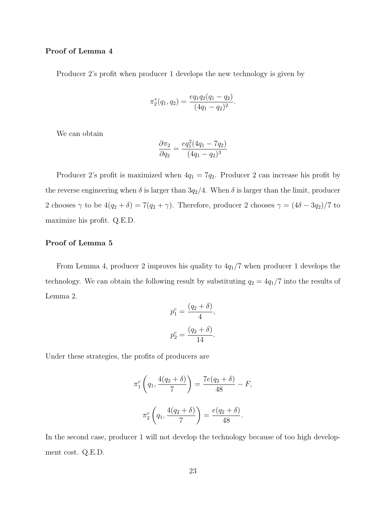#### **Proof of Lemma 4**

Producer 2's profit when producer 1 develops the new technology is given by

$$
\pi_2^*(q_1, q_2) = \frac{eq_1q_2(q_1 - q_2)}{(4q_1 - q_2)^2}.
$$

We can obtain

$$
\frac{\partial \pi_2}{\partial q_2} = \frac{eq_1^2(4q_1 - 7q_2)}{(4q_1 - q_2)^3}
$$

Producer 2's profit is maximized when  $4q_1 = 7q_2$ . Producer 2 can increase his profit by the reverse engineering when  $\delta$  is larger than  $3q_2/4$ . When  $\delta$  is larger than the limit, producer 2 chooses  $\gamma$  to be  $4(q_2 + \delta) = 7(q_2 + \gamma)$ . Therefore, producer 2 chooses  $\gamma = (4\delta - 3q_2)/7$  to maximize his profit. Q.E.D.

### **Proof of Lemma 5**

From Lemma 4, producer 2 improves his quality to 4*q*1*/*7 when producer 1 develops the technology. We can obtain the following result by substituting  $q_2 = 4q_1/7$  into the results of Lemma 2.

$$
p_1^c = \frac{(q_2 + \delta)}{4},
$$
  

$$
p_2^c = \frac{(q_2 + \delta)}{14}.
$$

Under these strategies, the profits of producers are

$$
\pi_1^c \left( q_1, \frac{4(q_2 + \delta)}{7} \right) = \frac{7e(q_2 + \delta)}{48} - F,
$$

$$
\pi_2^c \left( q_1, \frac{4(q_2 + \delta)}{7} \right) = \frac{e(q_2 + \delta)}{48}.
$$

In the second case, producer 1 will not develop the technology because of too high development cost. Q.E.D.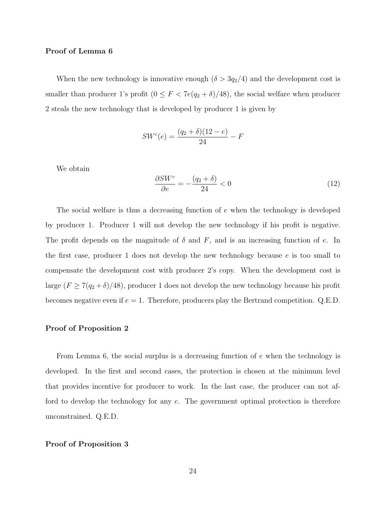#### **Proof of Lemma 6**

When the new technology is innovative enough  $(\delta > 3q_2/4)$  and the development cost is smaller than producer 1's profit  $(0 \leq F < 7e(q_2 + \delta)/48)$ , the social welfare when producer 2 steals the new technology that is developed by producer 1 is given by

$$
SW^{c}(e) = \frac{(q_2 + \delta)(12 - e)}{24} - F
$$

We obtain

$$
\frac{\partial SW^c}{\partial e} = -\frac{(q_2 + \delta)}{24} < 0 \tag{12}
$$

The social welfare is thus a decreasing function of *e* when the technology is developed by producer 1. Producer 1 will not develop the new technology if his profit is negative. The profit depends on the magnitude of  $\delta$  and  $F$ , and is an increasing function of *e*. In the first case, producer 1 does not develop the new technology because *e* is too small to compensate the development cost with producer 2's copy. When the development cost is large  $(F \ge 7(q_2 + \delta)/48)$ , producer 1 does not develop the new technology because his profit becomes negative even if  $e = 1$ . Therefore, producers play the Bertrand competition. Q.E.D.

#### **Proof of Proposition 2**

From Lemma 6, the social surplus is a decreasing function of *e* when the technology is developed. In the first and second cases, the protection is chosen at the minimum level that provides incentive for producer to work. In the last case, the producer can not afford to develop the technology for any *e*. The government optimal protection is therefore unconstrained. Q.E.D.

### **Proof of Proposition 3**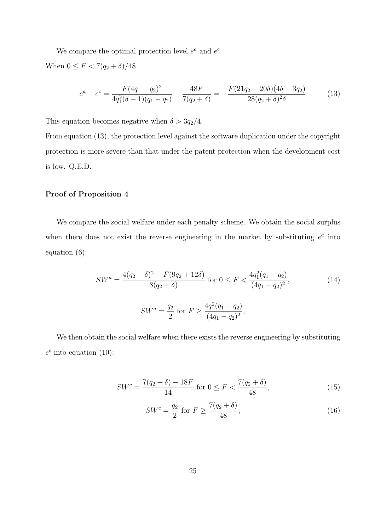We compare the optimal protection level  $e^a$  and  $e^c$ . When  $0 \leq F < 7(q_2 + \delta)/48$ 

$$
e^{a} - e^{c} = \frac{F(4q_{1} - q_{2})^{2}}{4q_{1}^{2}(\delta - 1)(q_{1} - q_{2})} - \frac{48F}{7(q_{2} + \delta)} = -\frac{F(21q_{2} + 20\delta)(4\delta - 3q_{2})}{28(q_{2} + \delta)^{2}\delta}
$$
(13)

This equation becomes negative when  $\delta > 3q_2/4$ .

From equation (13), the protection level against the software duplication under the copyright protection is more severe than that under the patent protection when the development cost is low. Q.E.D.

### **Proof of Proposition 4**

We compare the social welfare under each penalty scheme. We obtain the social surplus when there does not exist the reverse engineering in the market by substituting  $e^a$  into equation (6):

$$
SW^{a} = \frac{4(q_{2} + \delta)^{2} - F(9q_{2} + 12\delta)}{8(q_{2} + \delta)} \text{ for } 0 \le F < \frac{4q_{1}^{2}(q_{1} - q_{2})}{(4q_{1} - q_{2})^{2}},
$$
\n
$$
SW^{a} = \frac{q_{2}}{2} \text{ for } F \ge \frac{4q_{1}^{2}(q_{1} - q_{2})}{(4q_{1} - q_{2})^{2}},
$$
\n(14)

We then obtain the social welfare when there exists the reverse engineering by substituting  $e^c$  into equation (10):

$$
SW^{c} = \frac{7(q_2 + \delta) - 18F}{14} \text{ for } 0 \le F < \frac{7(q_2 + \delta)}{48},\tag{15}
$$

$$
SW^{c} = \frac{q_2}{2} \text{ for } F \ge \frac{7(q_2 + \delta)}{48},\tag{16}
$$